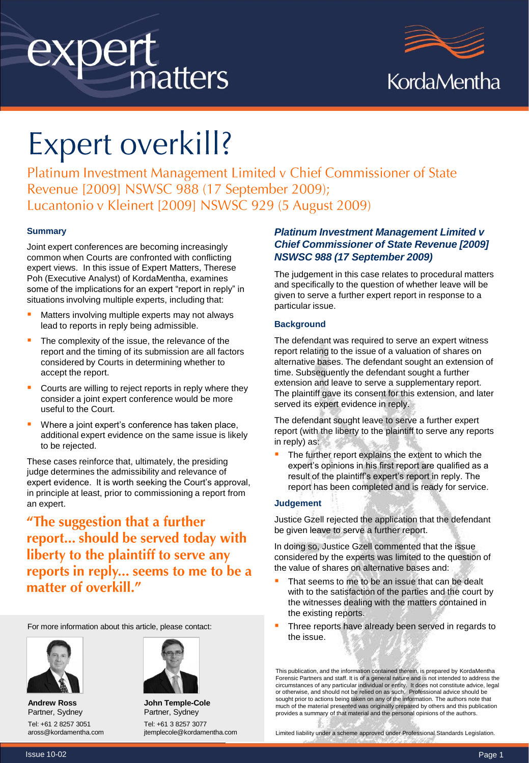# expert<br>matters



# Expert overkill?

Platinum Investment Management Limited v Chief Commissioner of State Revenue [2009] NSWSC 988 (17 September 2009); Lucantonio v Kleinert [2009] NSWSC 929 (5 August 2009)

#### **Summary**

Joint expert conferences are becoming increasingly common when Courts are confronted with conflicting expert views. In this issue of Expert Matters, Therese Poh (Executive Analyst) of KordaMentha, examines some of the implications for an expert "report in reply" in situations involving multiple experts, including that:

- Matters involving multiple experts may not always lead to reports in reply being admissible.
- The complexity of the issue, the relevance of the report and the timing of its submission are all factors considered by Courts in determining whether to accept the report.
- Courts are willing to reject reports in reply where they consider a joint expert conference would be more useful to the Court.
- Where a joint expert's conference has taken place, additional expert evidence on the same issue is likely to be rejected.

These cases reinforce that, ultimately, the presiding judge determines the admissibility and relevance of expert evidence. It is worth seeking the Court's approval, in principle at least, prior to commissioning a report from an expert.

"The suggestion that a further report... should be served today with liberty to the plaintiff to serve any reports in reply... seems to me to be a matter of overkill."

For more information about this article, please contact:



**Andrew Ross** Partner, Sydney Tel: +61 2 8257 3051 aross@kordamentha.com



**John Temple-Cole** Partner, Sydney Tel: +61 3 8257 3077 jtemplecole@kordamentha.com

#### *Platinum Investment Management Limited v Chief Commissioner of State Revenue [2009] NSWSC 988 (17 September 2009)*

The judgement in this case relates to procedural matters and specifically to the question of whether leave will be given to serve a further expert report in response to a particular issue.

#### **Background**

The defendant was required to serve an expert witness report relating to the issue of a valuation of shares on alternative bases. The defendant sought an extension of time. Subsequently the defendant sought a further extension and leave to serve a supplementary report. The plaintiff gave its consent for this extension, and later served its expert evidence in reply.

The defendant sought leave to serve a further expert report (with the liberty to the plaintiff to serve any reports in reply) as:

The further report explains the extent to which the expert's opinions in his first report are qualified as a result of the plaintiff's expert's report in reply. The report has been completed and is ready for service.

#### **Judgement**

Justice Gzell rejected the application that the defendant be given leave to serve a further report.

In doing so, Justice Gzell commented that the issue considered by the experts was limited to the question of the value of shares on alternative bases and:

- That seems to me to be an issue that can be dealt with to the satisfaction of the parties and the court by the witnesses dealing with the matters contained in the existing reports.
- Three reports have already been served in regards to the issue.

This publication, and the information contained therein, is prepared by KordaMentha Forensic Partners and staff. It is of a general nature and is not intended to address the circumstances of any particular individual or entity. It does not constitute advice, legal or otherwise, and should not be relied on as such. Professional advice should be sought prior to actions being taken on any of the information. The authors note that much of the material presented was originally prepared by others and this publication provides a summary of that material and the personal opinions of the authors.

Limited liability under a scheme approved under Professional Standards Legislation.